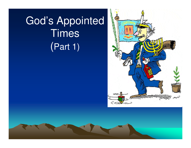# God's Appointed **Times** (Part 1)

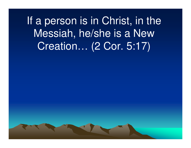If a person is in Christ, in the Messiah, he/she is a New Creation… (2 Cor. 5:17)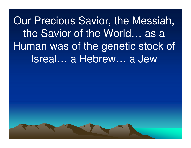Our Precious Savior, the Messiah, the Savior of the World… as a Human was of the genetic stock of Isreal… a Hebrew… a Jew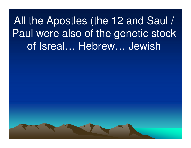All the Apostles (the 12 and Saul / Paul were also of the genetic stock of Isreal… Hebrew… Jewish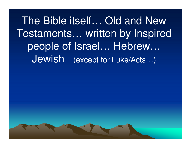The Bible itself… Old and New Testaments… written by Inspired people of Israel... Hebrew... Jewish (except for Luke/Acts…)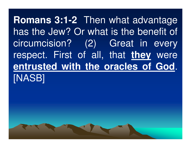**Romans 3:1-2** Then what advantage has the Jew? Or what is the benefit of circumcision? (2) Great in every respect. First of all, that **they** were **entrusted with the oracles of God**. [NASB]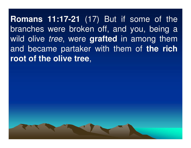**Romans 11:17-21** (17) But if some of the branches were broken off, and you, being a wild olive tree, were **grafted** in among them and became partaker with them of **the rich root of the olive tree**,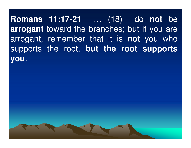**Romans 11:17-21** … (18) do **not** be **arrogant** toward the branches; but if you are arrogant, remember that it is **not** you who supports the root, **but the root supports you**.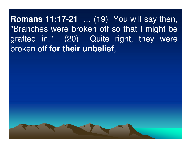**Romans 11:17-21** … (19) You will say then, "Branches were broken off so that I might be grafted in." (20) Quite right, they were broken off **for their unbelief**,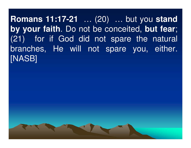**Romans 11:17-21** … (20) … but you **stand by your faith**. Do not be conceited, **but fear**; (21) for if God did not spare the natural branches, He will not spare you, either. [NASB]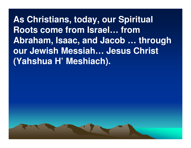**As Christians, today, our Spiritual Roots come from Israel… from Abraham, Isaac, and Jacob … through our Jewish Messiah… Jesus Christ (Yahshua H' Meshiach).**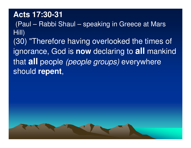#### **Acts 17:30-31**

(Paul – Rabbi Shaul – speaking in Greece at Mars Hill)(30) "Therefore having overlooked the times of ignorance, God is **now** declaring to **all** mankind that **all** people (people groups) everywhere should **repent**,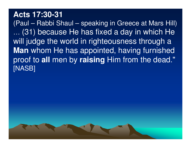#### **Acts 17:30-31**

 (Paul – Rabbi Shaul – speaking in Greece at Mars Hill)…... (31) because He has fixed a day in which He<br>will judge the world in righteousness through a will judge the world in righteousness through a **Man** whom He has appointed, having furnished proof to **all** men by **raising** Him from the dead." [NASB]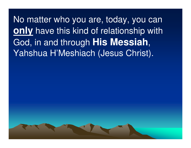No matter who you are, today, you can **only** have this kind of relationship with God, in and through **His Messiah**, Yahshua H'Meshiach (Jesus Christ).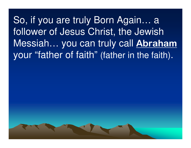So, if you are truly Born Again… <sup>a</sup> follower of Jesus Christ, the Jewish Messiah... you can truly call Abraham your "father of faith" (father in the faith).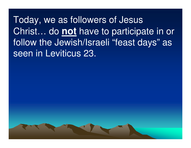Today, we as followers of Jesus Christ… do **not** have to participate in or follow the Jewish/Israeli "feast days" as seen in Leviticus 23.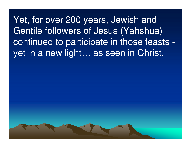Yet, for over 200 years, Jewish and Gentile followers of Jesus (Yahshua) continued to participate in those feasts yet in a new light… as seen in Christ.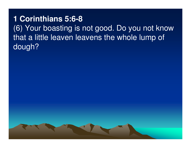**1 Corinthians 5:6-8** (6) Your boasting is not good. Do you not know that a little leaven leavens the whole lump of dough?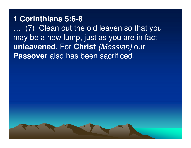#### **1 Corinthians 5:6-8**

 … (7) Clean out the old leaven so that you may be a new lump, just as you are in fact **unleavened**. For **Christ** (Messiah) our **Passover** also has been sacrificed.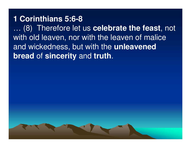#### **1 Corinthians 5:6-8**

 … (8) Therefore let us **celebrate the feast**, not with old leaven, nor with the leaven of malice and wickedness, but with the **unleavened bread** of **sincerity** and **truth**.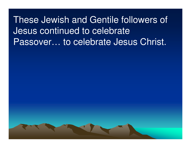These Jewish and Gentile followers of Jesus continued to celebrate Passover… to celebrate Jesus Christ.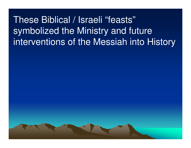These Biblical / Israeli "feasts"symbolized the Ministry and future interventions of the Messiah into History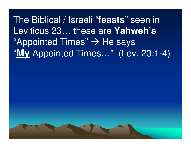# The Biblical / Israeli "**feasts**" seen in Leviticus 23… these are **Yahweh's** $\text{``Appointed Times''} \rightarrow \text{He says}$   $\text{``My Anpointed Times''} \rightarrow \text{He says}$ "**My** Appointed Times…" (Lev. 23:1-4)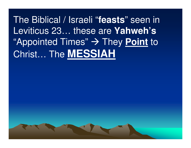The Biblical / Israeli "**feasts**" seen in Leviticus 23… these are **Yahweh's**"Appointed Times" → They <u>Point</u> to<br>Сhriet — Тhe M⊏⊆⊆1 ЛН Christ… The **MESSIAH**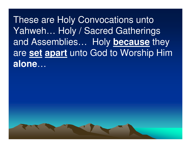These are Holy Convocations unto Yahweh… Holy / Sacred Gatherings and Assemblies… Holy **because** they are **set apart** unto God to Worship Him **alone**…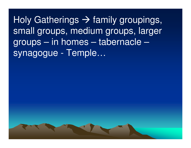Holy Gatherings -> family groupings,<br>small groups, medium groups, larger small groups, medium groups, larger groups – in homes – tabernacle –synagogue - Temple…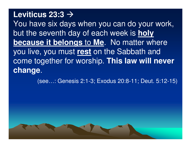## **Leviticus 23:3**

You have six days when you can do your work, but the seventh day of each week is **holy because it belongs** to **Me**. No matter where you live, you must **rest** on the Sabbath and come together for worship. **This law will never change**.

(see…: Genesis 2:1-3; Exodus 20:8-11; Deut. 5:12-15)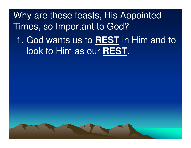Why are these feasts, His Appointed Times, so Important to God?

1. God wants us to **REST** in Him and to look to Him as our **REST**.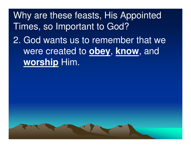Why are these feasts, His Appointed Times, so Important to God?2. God wants us to remember that we were created to **obey**, **know**, and **worship** Him.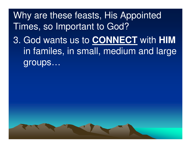Why are these feasts, His Appointed Times, so Important to God?3. God wants us to **CONNECT** with **HIM**in familes, in small, medium and large groups…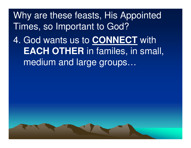Why are these feasts, His Appointed Times, so Important to God?

4. God wants us to **CONNECT** with **EACH OTHER** in familes, in small, medium and large groups…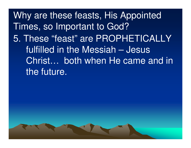Why are these feasts, His Appointed Times, so Important to God? 5. These "feast" are PROPHETICALLY fulfilled in the Messiah – Jesus Christ… both when He came and in the future.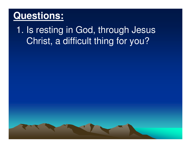1. Is resting in God, through Jesus Christ, a difficult thing for you?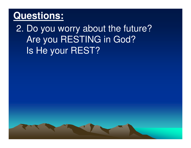2. Do you worry about the future?Are you RESTING in God? Is He your REST?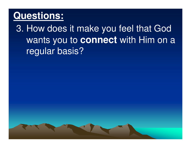3. How does it make you feel that God wants you to **connect** with Him on a regular basis?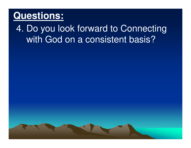### 4. Do you look forward to Connecting with God on a consistent basis?

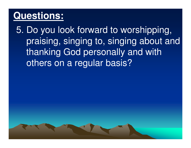5. Do you look forward to worshipping, praising, singing to, singing about and thanking God personally and with others on a regular basis?